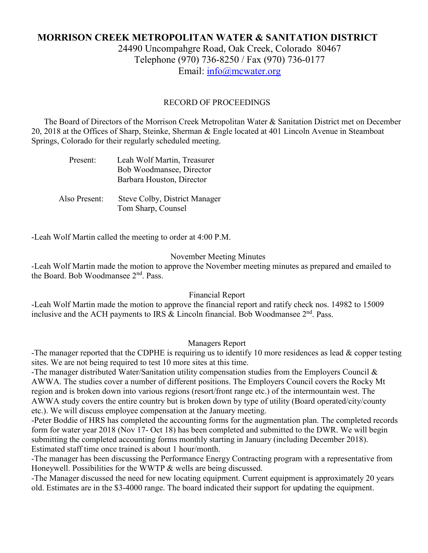# **MORRISON CREEK METROPOLITAN WATER & SANITATION DISTRICT** 24490 Uncompahgre Road, Oak Creek, Colorado 80467 Telephone (970) 736-8250 / Fax (970) 736-0177 Email: [info@mcwater.org](mailto:info@mcwater.org)

### RECORD OF PROCEEDINGS

 The Board of Directors of the Morrison Creek Metropolitan Water & Sanitation District met on December 20, 2018 at the Offices of Sharp, Steinke, Sherman & Engle located at 401 Lincoln Avenue in Steamboat Springs, Colorado for their regularly scheduled meeting.

| Present:      | Leah Wolf Martin, Treasurer<br>Bob Woodmansee, Director<br>Barbara Houston, Director |
|---------------|--------------------------------------------------------------------------------------|
| Also Present: | Steve Colby, District Manager<br>Tom Sharp, Counsel                                  |

-Leah Wolf Martin called the meeting to order at 4:00 P.M.

#### November Meeting Minutes

-Leah Wolf Martin made the motion to approve the November meeting minutes as prepared and emailed to the Board. Bob Woodmansee  $2<sup>nd</sup>$ . Pass.

#### Financial Report

-Leah Wolf Martin made the motion to approve the financial report and ratify check nos. 14982 to 15009 inclusive and the ACH payments to IRS & Lincoln financial. Bob Woodmansee 2nd. Pass.

#### Managers Report

-The manager reported that the CDPHE is requiring us to identify 10 more residences as lead & copper testing sites. We are not being required to test 10 more sites at this time.

-The manager distributed Water/Sanitation utility compensation studies from the Employers Council & AWWA. The studies cover a number of different positions. The Employers Council covers the Rocky Mt region and is broken down into various regions (resort/front range etc.) of the intermountain west. The AWWA study covers the entire country but is broken down by type of utility (Board operated/city/county etc.). We will discuss employee compensation at the January meeting.

-Peter Boddie of HRS has completed the accounting forms for the augmentation plan. The completed records form for water year 2018 (Nov 17- Oct 18) has been completed and submitted to the DWR. We will begin submitting the completed accounting forms monthly starting in January (including December 2018). Estimated staff time once trained is about 1 hour/month.

-The manager has been discussing the Performance Energy Contracting program with a representative from Honeywell. Possibilities for the WWTP & wells are being discussed.

-The Manager discussed the need for new locating equipment. Current equipment is approximately 20 years old. Estimates are in the \$3-4000 range. The board indicated their support for updating the equipment.